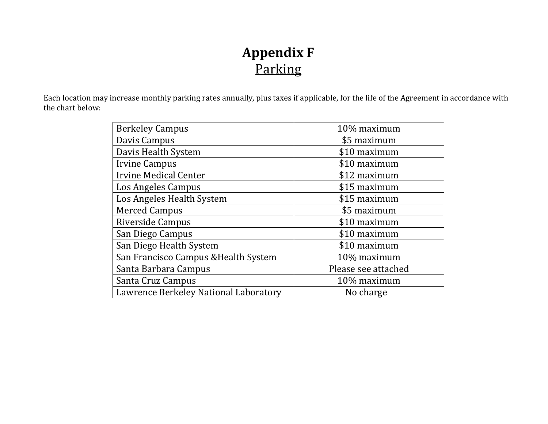## **Appendix F** Parking

Each location may increase monthly parking rates annually, plus taxes if applicable, for the life of the Agreement in accordance with the chart below:

| <b>Berkeley Campus</b>                | 10% maximum         |
|---------------------------------------|---------------------|
| Davis Campus                          | \$5 maximum         |
| Davis Health System                   | \$10 maximum        |
| <b>Irvine Campus</b>                  | \$10 maximum        |
| <b>Irvine Medical Center</b>          | \$12 maximum        |
| Los Angeles Campus                    | \$15 maximum        |
| Los Angeles Health System             | \$15 maximum        |
| <b>Merced Campus</b>                  | \$5 maximum         |
| Riverside Campus                      | \$10 maximum        |
| San Diego Campus                      | \$10 maximum        |
| San Diego Health System               | \$10 maximum        |
| San Francisco Campus & Health System  | 10% maximum         |
| Santa Barbara Campus                  | Please see attached |
| Santa Cruz Campus                     | 10% maximum         |
| Lawrence Berkeley National Laboratory | No charge           |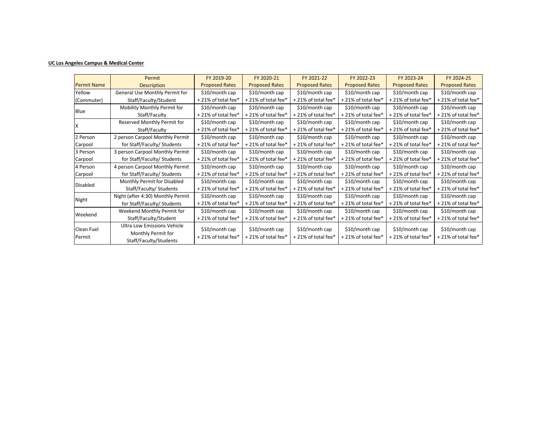## **UC Los Angeles Campus & Medical Center**

|                      | Permit                                                                      | FY 2019-20                           | FY 2020-21                             | FY 2021-22                           | FY 2022-23                           | FY 2023-24                           | FY 2024-25                           |
|----------------------|-----------------------------------------------------------------------------|--------------------------------------|----------------------------------------|--------------------------------------|--------------------------------------|--------------------------------------|--------------------------------------|
| <b>Permit Name</b>   | <b>Description</b>                                                          | <b>Proposed Rates</b>                | <b>Proposed Rates</b>                  | <b>Proposed Rates</b>                | <b>Proposed Rates</b>                | <b>Proposed Rates</b>                | <b>Proposed Rates</b>                |
| Yellow               | General Use Monthly Permit for                                              | \$10/month cap                       | \$10/month cap                         | \$10/month cap                       | \$10/month cap                       | \$10/month cap                       | \$10/month cap                       |
| (Commuter)           | Staff/Faculty/Student                                                       | +21% of total fee*                   | +21% of total fee*                     | +21% of total fee*                   | +21% of total fee*                   | +21% of total fee*                   | +21% of total fee*                   |
| Blue                 | Mobility Monthly Permit for                                                 | $$10/m$ onth cap                     | \$10/month cap                         | \$10/month cap                       | \$10/month cap                       | \$10/month cap                       | \$10/month cap                       |
|                      | Staff/Faculty                                                               | $+21\%$ of total fee*                | +21% of total fee*                     | +21% of total fee*                   | +21% of total fee*                   | +21% of total fee*                   | +21% of total fee*                   |
|                      | Reserved Monthly Permit for                                                 | \$10/month cap                       | \$10/month cap                         | \$10/month cap                       | \$10/month cap                       | \$10/month cap                       | \$10/month cap                       |
|                      | Staff/Faculty                                                               | +21% of total fee*                   | +21% of total fee*                     | +21% of total fee*                   | +21% of total fee*                   | +21% of total fee*                   | +21% of total fee*                   |
| 2 Person             | 2 person Carpool Monthly Permit                                             | \$10/month cap                       | \$10/month cap                         | \$10/month cap                       | \$10/month cap                       | \$10/month cap                       | \$10/month cap                       |
| Carpool              | for Staff/Faculty/ Students                                                 | +21% of total fee*                   | +21% of total fee*                     | +21% of total fee*                   | +21% of total fee*                   | +21% of total fee*                   | +21% of total fee*                   |
| 3 Person             | 3 person Carpool Monthly Permit                                             | \$10/month cap                       | \$10/month cap                         | $$10/m$ onth cap                     | $$10/m$ onth cap                     | \$10/month cap                       | \$10/month cap                       |
| Carpool              | for Staff/Faculty/ Students                                                 | +21% of total fee*                   | +21% of total fee*                     | +21% of total fee*                   | +21% of total fee*                   | +21% of total fee*                   | +21% of total fee*                   |
| 4 Person             | 4 person Carpool Monthly Permit                                             | $$10/m$ onth cap                     | \$10/month cap                         | \$10/month cap                       | \$10/month cap                       | \$10/month cap                       | \$10/month cap                       |
| Carpool              | for Staff/Faculty/ Students                                                 | +21% of total fee*                   | +21% of total fee*                     | +21% of total fee*                   | +21% of total fee*                   | +21% of total fee*                   | +21% of total fee*                   |
| <b>Disabled</b>      | Monthly Permit for Disabled                                                 | $$10/m$ onth cap                     | \$10/month cap                         | \$10/month cap                       | \$10/month cap                       | \$10/month cap                       | \$10/month cap                       |
|                      | Staff/Faculty/ Students                                                     | +21% of total fee*                   | +21% of total fee*                     | +21% of total fee*                   | +21% of total fee*                   | +21% of total fee*                   | +21% of total fee*                   |
| Night                | Night (after 4:30) Monthly Permit                                           | \$10/month cap                       | \$10/month cap                         | \$10/month cap                       | $$10/m$ onth cap                     | \$10/month cap                       | \$10/month cap                       |
|                      | for Staff/Faculty/ Students                                                 | +21% of total fee*                   | +21% of total fee*                     | +21% of total fee*                   | +21% of total fee*                   | +21% of total fee*                   | +21% of total fee*                   |
| Weekend              | Weekend Monthly Permit for                                                  | $$10/m$ onth cap                     | \$10/month cap                         | $$10/m$ onth cap                     | \$10/month cap                       | \$10/month cap                       | \$10/month cap                       |
|                      | Staff/Faculty/Student                                                       | +21% of total fee*                   | +21% of total fee*                     | +21% of total fee*                   | +21% of total fee*                   | +21% of total fee*                   | +21% of total fee*                   |
| Clean Fuel<br>Permit | Ultra Low Emissions Vehicle<br>Monthly Permit for<br>Staff/Faculty/Students | \$10/month cap<br>+21% of total fee* | $$10/m$ onth cap<br>+21% of total fee* | \$10/month cap<br>+21% of total fee* | \$10/month cap<br>+21% of total fee* | \$10/month cap<br>+21% of total fee* | \$10/month cap<br>+21% of total fee* |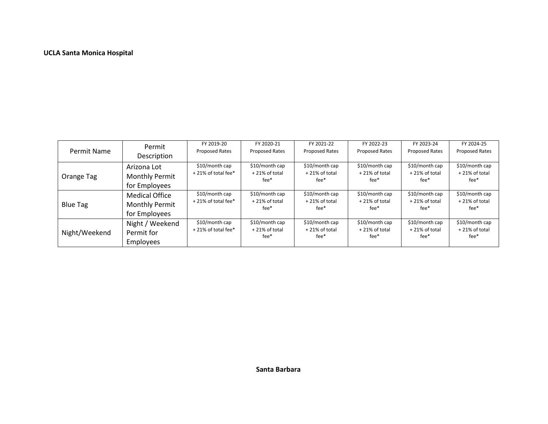## **UCLA Santa Monica Hospital**

| Permit Name     | Permit                | FY 2019-20         | FY 2020-21     | FY 2021-22       | FY 2022-23            | FY 2023-24     | FY 2024-25       |
|-----------------|-----------------------|--------------------|----------------|------------------|-----------------------|----------------|------------------|
|                 |                       | Proposed Rates     | Proposed Rates | Proposed Rates   | <b>Proposed Rates</b> | Proposed Rates | Proposed Rates   |
|                 | Description           |                    |                |                  |                       |                |                  |
|                 | Arizona Lot           | \$10/month cap     | \$10/month cap | \$10/month cap   | \$10/month cap        | \$10/month cap | \$10/month cap   |
|                 |                       | +21% of total fee* | +21% of total  | $+21\%$ of total | $+21\%$ of total      | +21% of total  | $+21\%$ of total |
| Orange Tag      | <b>Monthly Permit</b> |                    | fee*           | fee*             | fee*                  | fee*           | fee*             |
|                 | for Employees         |                    |                |                  |                       |                |                  |
|                 | <b>Medical Office</b> | \$10/month cap     | \$10/month cap | \$10/month cap   | \$10/month cap        | \$10/month cap | \$10/month cap   |
| <b>Blue Tag</b> | <b>Monthly Permit</b> | +21% of total fee* | +21% of total  | $+21\%$ of total | +21% of total         | +21% of total  | +21% of total    |
|                 |                       |                    | fee*           | $fee*$           | fee*                  | fee*           | fee*             |
|                 | for Employees         |                    |                |                  |                       |                |                  |
|                 | Night / Weekend       | \$10/month cap     | \$10/month cap | \$10/month cap   | \$10/month cap        | \$10/month cap | \$10/month cap   |
|                 |                       | +21% of total fee* | +21% of total  | $+21\%$ of total | +21% of total         | +21% of total  | +21% of total    |
| Night/Weekend   | Permit for            |                    | fee*           | fee*             | $fee*$                | fee*           | fee*             |
|                 | <b>Employees</b>      |                    |                |                  |                       |                |                  |
|                 |                       |                    |                |                  |                       |                |                  |